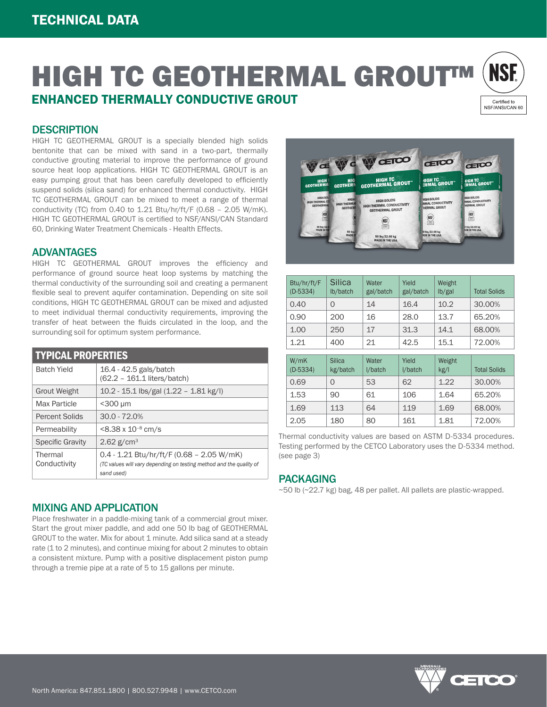

### **DESCRIPTION**

HIGH TC GEOTHERMAL GROUT is a specially blended high solids bentonite that can be mixed with sand in a two-part, thermally conductive grouting material to improve the performance of ground source heat loop applications. HIGH TC GEOTHERMAL GROUT is an easy pumping grout that has been carefully developed to efficiently suspend solids (silica sand) for enhanced thermal conductivity. HIGH TC GEOTHERMAL GROUT can be mixed to meet a range of thermal conductivity (TC) from 0.40 to 1.21 Btu/hr/ft/F (0.68 – 2.05 W/mK). HIGH TC GEOTHERMAL GROUT is certified to NSF/ANSI/CAN Standard 60, Drinking Water Treatment Chemicals - Health Effects.

#### ADVANTAGES

HIGH TC GEOTHERMAL GROUT improves the efficiency and performance of ground source heat loop systems by matching the thermal conductivity of the surrounding soil and creating a permanent flexible seal to prevent aquifer contamination. Depending on site soil conditions, HIGH TC GEOTHERMAL GROUT can be mixed and adjusted to meet individual thermal conductivity requirements, improving the transfer of heat between the fluids circulated in the loop, and the surrounding soil for optimum system performance.

| <b>TYPICAL PROPERTIES</b> |                                                                                                                                  |  |  |  |
|---------------------------|----------------------------------------------------------------------------------------------------------------------------------|--|--|--|
| <b>Batch Yield</b>        | 16.4 - 42.5 gals/batch<br>(62.2 - 161.1 liters/batch)                                                                            |  |  |  |
| <b>Grout Weight</b>       | 10.2 - 15.1 lbs/gal (1.22 - 1.81 kg/l)                                                                                           |  |  |  |
| Max Particle              | $<$ 300 µm                                                                                                                       |  |  |  |
| <b>Percent Solids</b>     | $30.0 - 72.0%$                                                                                                                   |  |  |  |
| Permeability              | $< 8.38 \times 10^{-8}$ cm/s                                                                                                     |  |  |  |
| <b>Specific Gravity</b>   | 2.62 $g/cm^{3}$                                                                                                                  |  |  |  |
| Thermal<br>Conductivity   | $0.4 - 1.21$ Btu/hr/ft/F (0.68 - 2.05 W/mK)<br>(TC values will vary depending on testing method and the quality of<br>sand used) |  |  |  |



| Btu/hr/ft/F<br>$(D-5334)$ | Silica<br>lb/batch | Water<br>gal/batch | Yield<br>gal/batch | Weight<br>lb/gal | <b>Total Solids</b> |
|---------------------------|--------------------|--------------------|--------------------|------------------|---------------------|
| 0.40                      | 0                  | 14                 | 16.4               | 10.2             | 30.00%              |
| 0.90                      | 200                | 16                 | 28.0               | 13.7             | 65.20%              |
| 1.00                      | 250                | 17                 | 31.3               | 14.1             | 68.00%              |
| 1.21                      | 400                | 21                 | 42.5               | 15.1             | 72.00%              |
|                           |                    |                    |                    |                  |                     |
| W/mK                      | <b>Silica</b>      | Water              | Yield              | Weight           |                     |

| W/THK<br>$(D-5334)$ | <b>SIIICa</b><br>kg/batch | <i>v</i> ater<br>I/batch | rielu<br>I/batch | <i>vveignt</i><br>kg/l | <b>Total Solids</b> |
|---------------------|---------------------------|--------------------------|------------------|------------------------|---------------------|
| 0.69                |                           | 53                       | 62               | 1.22                   | 30,00%              |
| 1.53                | 90                        | 61                       | 106              | 1.64                   | 65.20%              |
| 1.69                | 113                       | 64                       | 119              | 1.69                   | 68.00%              |
| 2.05                | 180                       | 80                       | 161              | 1.81                   | 72.00%              |

Thermal conductivity values are based on ASTM D-5334 procedures. Testing performed by the CETCO Laboratory uses the D-5334 method. (see page 3)

#### PACKAGING

~50 lb (~22.7 kg) bag, 48 per pallet. All pallets are plastic-wrapped.

### MIXING AND APPLICATION

Place freshwater in a paddle-mixing tank of a commercial grout mixer. Start the grout mixer paddle, and add one 50 lb bag of GEOTHERMAL GROUT to the water. Mix for about 1 minute. Add silica sand at a steady rate (1 to 2 minutes), and continue mixing for about 2 minutes to obtain a consistent mixture. Pump with a positive displacement piston pump through a tremie pipe at a rate of 5 to 15 gallons per minute.

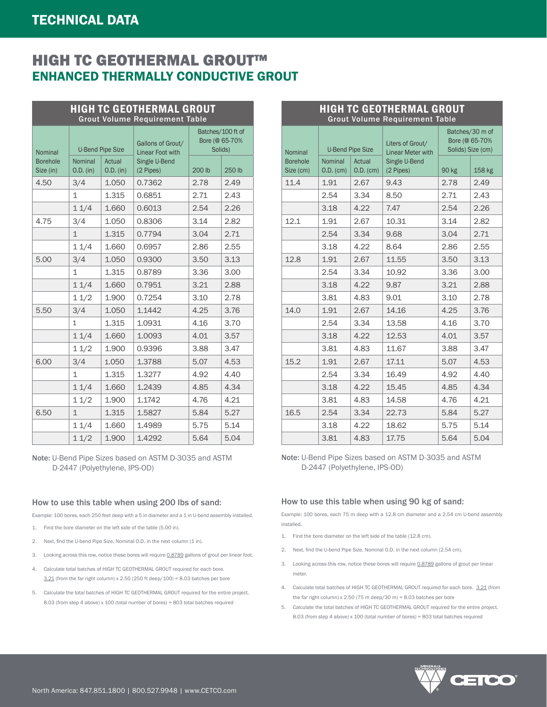|                                         | <b>HIGH TC GEOTHERMAL GROUT</b><br><b>Grout Volume Requirement Table</b> |                     |                                       |                                                |        |      |
|-----------------------------------------|--------------------------------------------------------------------------|---------------------|---------------------------------------|------------------------------------------------|--------|------|
| Nominal<br><b>Borehole</b><br>Size (in) | <b>U-Bend Pipe Size</b>                                                  |                     | Gallons of Grout/<br>Linear Foot with | Batches/100 ft of<br>Bore (@ 65-70%<br>Solids) |        |      |
|                                         | Nominal<br>O.D. (in)                                                     | Actual<br>O.D. (in) | Single U-Bend<br>(2 Pipes)            | 200 lb                                         | 250 lb |      |
|                                         | 4.50                                                                     | 3/4                 | 1.050                                 | 0.7362                                         | 2.78   | 2.49 |
|                                         |                                                                          | $\mathbf{1}$        | 1.315                                 | 0.6851                                         | 2.71   | 2.43 |
|                                         |                                                                          | 11/4                | 1.660                                 | 0.6013                                         | 2.54   | 2.26 |
|                                         | 4.75                                                                     | 3/4                 | 1.050                                 | 0.8306                                         | 3.14   | 2.82 |
|                                         |                                                                          | $\mathbf{1}$        | 1.315                                 | 0.7794                                         | 3.04   | 2.71 |
|                                         |                                                                          | 11/4                | 1.660                                 | 0.6957                                         | 2.86   | 2.55 |
|                                         | 5.00                                                                     | 3/4                 | 1.050                                 | 0.9300                                         | 3.50   | 3.13 |
|                                         |                                                                          | $\mathbf{1}$        | 1.315                                 | 0.8789                                         | 3.36   | 3.00 |
|                                         |                                                                          | 11/4                | 1.660                                 | 0.7951                                         | 3.21   | 2.88 |
|                                         |                                                                          | 11/2                | 1.900                                 | 0.7254                                         | 3.10   | 2.78 |
|                                         | 5.50                                                                     | 3/4                 | 1.050                                 | 1.1442                                         | 4.25   | 3.76 |
|                                         |                                                                          | $\mathbf{1}$        | 1.315                                 | 1.0931                                         | 4.16   | 3.70 |
|                                         |                                                                          | 11/4                | 1.660                                 | 1.0093                                         | 4.01   | 3.57 |
|                                         |                                                                          | 11/2                | 1.900                                 | 0.9396                                         | 3.88   | 3.47 |
|                                         | 6.00                                                                     | 3/4                 | 1.050                                 | 1.3788                                         | 5.07   | 4.53 |
|                                         |                                                                          | $\mathbf{1}$        | 1.315                                 | 1.3277                                         | 4.92   | 4.40 |
|                                         |                                                                          | 11/4                | 1.660                                 | 1.2439                                         | 4.85   | 4.34 |
|                                         |                                                                          | 11/2                | 1.900                                 | 1.1742                                         | 4.76   | 4.21 |
|                                         | 6.50                                                                     | $\mathbf{1}$        | 1.315                                 | 1.5827                                         | 5.84   | 5.27 |
|                                         |                                                                          | 11/4                | 1.660                                 | 1.4989                                         | 5.75   | 5.14 |
|                                         |                                                                          | 11/2                | 1.900                                 | 1.4292                                         | 5.64   | 5.04 |

Note: U-Bend Pipe Sizes based on ASTM D-3035 and ASTM D-2447 (Polyethylene, IPS-OD)

#### How to use this table when using 200 lbs of sand:

Example: 100 bores, each 250 feet deep with a 5 in diameter and a 1 in U-bend assembly installed.

- 1. Find the bore diameter on the left side of the table (5.00 in).
- 2. Next, find the U-bend Pipe Size, Nominal O.D. in the next column (1 in).
- 3. Looking across this row, notice these bores will require 0.8789 gallons of grout per linear foot.
- 4. Calculate total batches of HIGH TC GEOTHERMAL GROUT required for each bore.  $3.21$  (from the far right column) x 2.50 (250 ft deep/100) = 8.03 batches per bore
- 5. Calculate the total batches of HIGH TC GEOTHERMAL GROUT required for the entire project. 8.03 (from step 4 above) x 100 (total number of bores) = 803 total batches required

| <b>Grout Volume Requirement Table</b>                  |                                                                         |                       |                                                        |       |        |
|--------------------------------------------------------|-------------------------------------------------------------------------|-----------------------|--------------------------------------------------------|-------|--------|
| Nominal                                                | Liters of Grout/<br><b>U-Bend Pipe Size</b><br><b>Linear Meter with</b> |                       | Batches/30 m of<br>Bore (@ 65-70%<br>Solids) Size (cm) |       |        |
| <b>Borehole</b><br>Nominal<br>Size (cm)<br>$O.D.$ (cm) |                                                                         | Actual<br>$O.D.$ (cm) | Single U-Bend<br>(2 Pipes)                             | 90 kg | 158 kg |
| 11.4                                                   | 1.91                                                                    | 2.67                  | 9.43                                                   | 2.78  | 2.49   |
|                                                        | 2.54                                                                    | 3.34                  | 8.50                                                   | 2.71  | 2.43   |
|                                                        | 3.18                                                                    | 4.22                  | 7.47                                                   | 2.54  | 2.26   |
| 12.1                                                   | 1.91                                                                    | 2.67                  | 10.31                                                  | 3.14  | 2.82   |
|                                                        | 2.54                                                                    | 3.34                  | 9.68                                                   | 3.04  | 2.71   |
|                                                        | 3.18                                                                    | 4.22                  | 8.64                                                   | 2.86  | 2.55   |
| 12.8                                                   | 1.91                                                                    | 2.67                  | 11.55                                                  | 3.50  | 3.13   |
|                                                        | 2.54                                                                    | 3.34                  | 10.92                                                  | 3.36  | 3.00   |
|                                                        | 3.18                                                                    | 4.22                  | 9.87                                                   | 3.21  | 2.88   |
|                                                        | 3.81                                                                    | 4.83                  | 9.01                                                   | 3.10  | 2.78   |
| 14.0                                                   | 1.91                                                                    | 2.67                  | 14.16                                                  | 4.25  | 3.76   |
|                                                        | 2.54                                                                    | 3.34                  | 13.58                                                  | 4.16  | 3.70   |
|                                                        | 3.18                                                                    | 4.22                  | 12.53                                                  | 4.01  | 3.57   |
|                                                        | 3.81                                                                    | 4.83                  | 11.67                                                  | 3.88  | 3.47   |
| 15.2                                                   | 1.91                                                                    | 2.67                  | 17.11                                                  | 5.07  | 4.53   |
|                                                        | 2.54                                                                    | 3.34                  | 16.49                                                  | 4.92  | 4.40   |
|                                                        | 3.18                                                                    | 4.22                  | 15.45                                                  | 4.85  | 4.34   |
|                                                        | 3.81                                                                    | 4.83                  | 14.58                                                  | 4.76  | 4.21   |
| 16.5                                                   | 2.54                                                                    | 3.34                  | 22.73                                                  | 5.84  | 5.27   |
|                                                        | 3.18                                                                    | 4.22                  | 18.62                                                  | 5.75  | 5.14   |
|                                                        | 3.81                                                                    | 4.83                  | 17.75                                                  | 5.64  | 5.04   |

HIGH TC GEOTHERMAL GROUT

Note: U-Bend Pipe Sizes based on ASTM D-3035 and ASTM D-2447 (Polyethylene, IPS-OD)

#### How to use this table when using 90 kg of sand:

Example: 100 bores, each 75 m deep with a 12.8 cm diameter and a 2.54 cm U-bend assembly installed.

- 1. Find the bore diameter on the left side of the table (12.8 cm).
- 2. Next, find the U-bend Pipe Size, Nominal O.D. in the next column (2.54 cm).
- 3. Looking across this row, notice these bores will require 0.8789 gallons of grout per linear meter.
- 4. Calculate total batches of HIGH TC GEOTHERMAL GROUT required for each bore. 3.21 (from the far right column)  $x$  2.50 (75 m deep/30 m) = 8.03 batches per bore
- 5. Calculate the total batches of HIGH TC GEOTHERMAL GROUT required for the entire project. 8.03 (from step 4 above) x 100 (total number of bores) = 803 total batches required

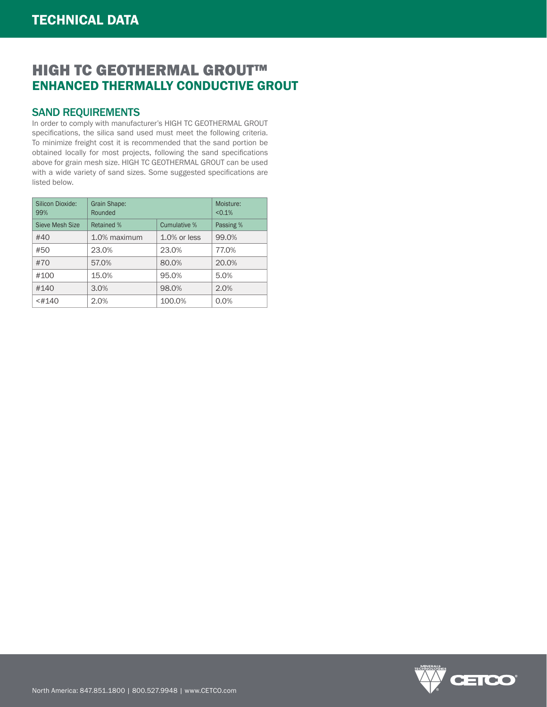## SAND REQUIREMENTS

In order to comply with manufacturer's HIGH TC GEOTHERMAL GROUT specifications, the silica sand used must meet the following criteria. To minimize freight cost it is recommended that the sand portion be obtained locally for most projects, following the sand specifications above for grain mesh size. HIGH TC GEOTHERMAL GROUT can be used with a wide variety of sand sizes. Some suggested specifications are listed below.

| Silicon Dioxide:<br>99% | <b>Grain Shape:</b><br>Rounded | Moisture:<br>< 0.1% |           |
|-------------------------|--------------------------------|---------------------|-----------|
| Sieve Mesh Size         | Retained %<br>Cumulative %     |                     | Passing % |
| #40                     | 1.0% maximum                   | $1.0\%$ or less     | 99.0%     |
| #50                     | 23.0%                          | 23.0%               | 77.0%     |
| #70                     | 57.0%                          | 80.0%               | 20.0%     |
| #100                    | 15.0%                          | 95.0%               | 5.0%      |
| #140                    | 3.0%                           | 98.0%               | 2.0%      |
| $<$ #140                | 2.0%                           | 100.0%              | 0.0%      |